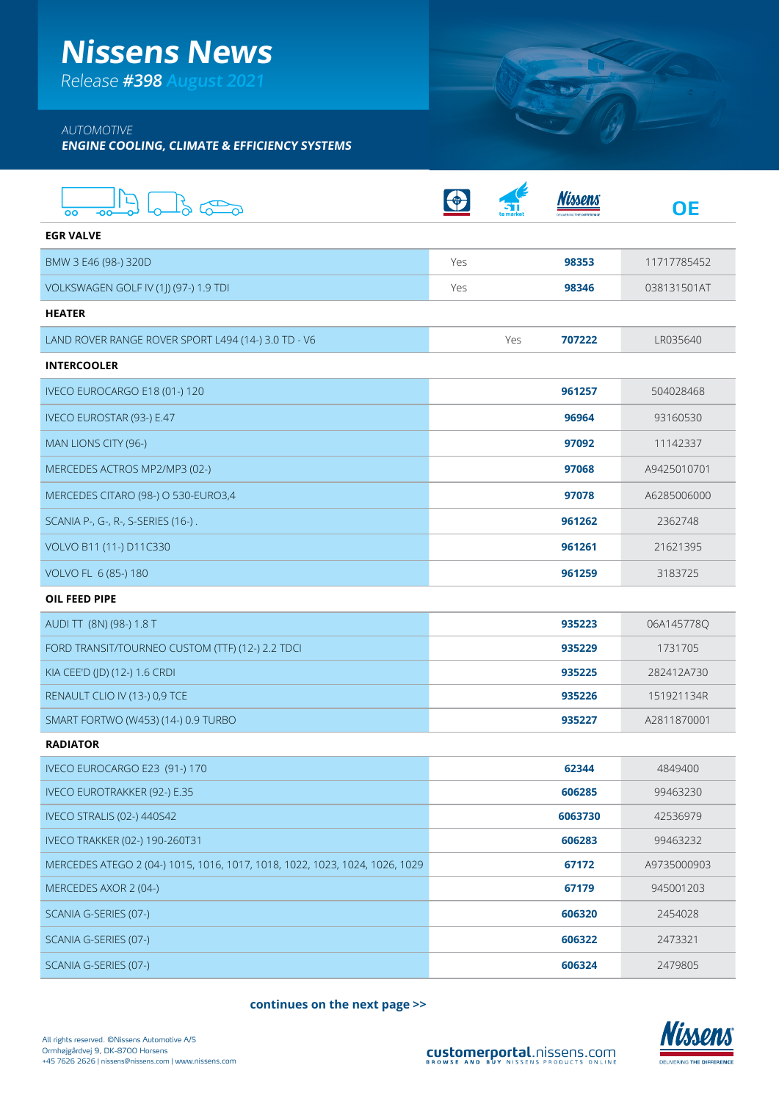## **Nissens News**

Release **#398 August 2021**

## AUTOMOTIVE

**ENGINE COOLING, CLIMATE & EFFICIENCY SYSTEMS**

| OO                                                                          |     |     |         | <b>OE</b>   |
|-----------------------------------------------------------------------------|-----|-----|---------|-------------|
| <b>EGR VALVE</b>                                                            |     |     |         |             |
| BMW 3 E46 (98-) 320D                                                        | Yes |     | 98353   | 11717785452 |
| VOLKSWAGEN GOLF IV (1J) (97-) 1.9 TDI                                       | Yes |     | 98346   | 038131501AT |
| <b>HEATER</b>                                                               |     |     |         |             |
| LAND ROVER RANGE ROVER SPORT L494 (14-) 3.0 TD - V6                         |     | Yes | 707222  | LR035640    |
| <b>INTERCOOLER</b>                                                          |     |     |         |             |
| IVECO EUROCARGO E18 (01-) 120                                               |     |     | 961257  | 504028468   |
| IVECO EUROSTAR (93-) E.47                                                   |     |     | 96964   | 93160530    |
| MAN LIONS CITY (96-)                                                        |     |     | 97092   | 11142337    |
| MERCEDES ACTROS MP2/MP3 (02-)                                               |     |     | 97068   | A9425010701 |
| MERCEDES CITARO (98-) O 530-EURO3,4                                         |     |     | 97078   | A6285006000 |
| SCANIA P-, G-, R-, S-SERIES (16-).                                          |     |     | 961262  | 2362748     |
| VOLVO B11 (11-) D11C330                                                     |     |     | 961261  | 21621395    |
| VOLVO FL 6 (85-) 180                                                        |     |     | 961259  | 3183725     |
| OIL FEED PIPE                                                               |     |     |         |             |
| AUDI TT (8N) (98-) 1.8 T                                                    |     |     | 935223  | 06A145778Q  |
| FORD TRANSIT/TOURNEO CUSTOM (TTF) (12-) 2.2 TDCI                            |     |     | 935229  | 1731705     |
| KIA CEE'D (JD) (12-) 1.6 CRDI                                               |     |     | 935225  | 282412A730  |
| RENAULT CLIO IV (13-) 0,9 TCE                                               |     |     | 935226  | 151921134R  |
| SMART FORTWO (W453) (14-) 0.9 TURBO                                         |     |     | 935227  | A2811870001 |
| <b>RADIATOR</b>                                                             |     |     |         |             |
| IVECO EUROCARGO E23 (91-) 170                                               |     |     | 62344   | 4849400     |
| <b>IVECO EUROTRAKKER (92-) E.35</b>                                         |     |     | 606285  | 99463230    |
| <b>IVECO STRALIS (02-) 440S42</b>                                           |     |     | 6063730 | 42536979    |
| IVECO TRAKKER (02-) 190-260T31                                              |     |     | 606283  | 99463232    |
| MERCEDES ATEGO 2 (04-) 1015, 1016, 1017, 1018, 1022, 1023, 1024, 1026, 1029 |     |     | 67172   | A9735000903 |
| MERCEDES AXOR 2 (04-)                                                       |     |     | 67179   | 945001203   |
| SCANIA G-SERIES (07-)                                                       |     |     | 606320  | 2454028     |
| SCANIA G-SERIES (07-)                                                       |     |     | 606322  | 2473321     |
| SCANIA G-SERIES (07-)                                                       |     |     | 606324  | 2479805     |

**continues on the next page >>**



**BOTT**